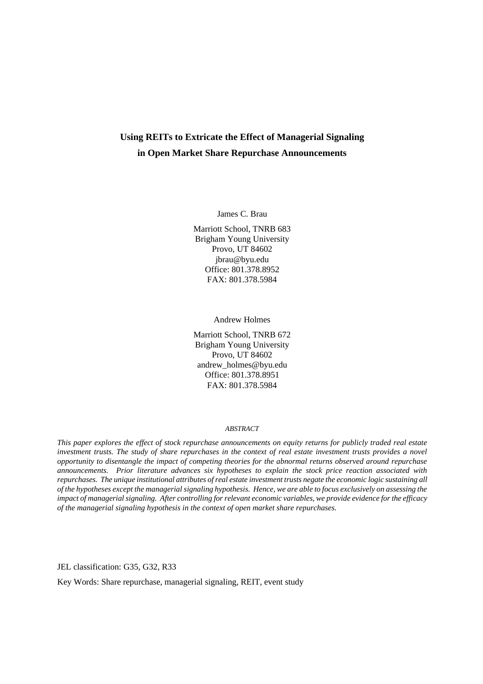## **Using REITs to Extricate the Effect of Managerial Signaling in Open Market Share Repurchase Announcements**

James C. Brau

Marriott School, TNRB 683 Brigham Young University Provo, UT 84602 jbrau@byu.edu Office: 801.378.8952 FAX: 801.378.5984

Andrew Holmes

Marriott School, TNRB 672 Brigham Young University Provo, UT 84602 andrew\_holmes@byu.edu Office: 801.378.8951 FAX: 801.378.5984

#### *ABSTRACT*

*This paper explores the effect of stock repurchase announcements on equity returns for publicly traded real estate investment trusts. The study of share repurchases in the context of real estate investment trusts provides a novel opportunity to disentangle the impact of competing theories for the abnormal returns observed around repurchase announcements. Prior literature advances six hypotheses to explain the stock price reaction associated with repurchases. The unique institutional attributes of real estate investment trusts negate the economic logic sustaining all of the hypotheses except the managerial signaling hypothesis. Hence, we are able to focus exclusively on assessing the impact of managerial signaling. After controlling for relevant economic variables, we provide evidence for the efficacy of the managerial signaling hypothesis in the context of open market share repurchases.* 

JEL classification: G35, G32, R33

Key Words: Share repurchase, managerial signaling, REIT, event study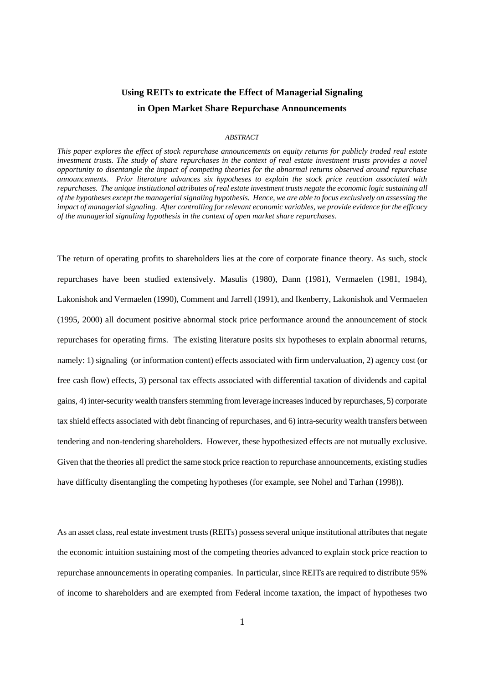# **Using REITs to extricate the Effect of Managerial Signaling in Open Market Share Repurchase Announcements**

## *ABSTRACT*

*This paper explores the effect of stock repurchase announcements on equity returns for publicly traded real estate investment trusts. The study of share repurchases in the context of real estate investment trusts provides a novel opportunity to disentangle the impact of competing theories for the abnormal returns observed around repurchase announcements. Prior literature advances six hypotheses to explain the stock price reaction associated with repurchases. The unique institutional attributes of real estate investment trusts negate the economic logic sustaining all of the hypotheses except the managerial signaling hypothesis. Hence, we are able to focus exclusively on assessing the impact of managerial signaling. After controlling for relevant economic variables, we provide evidence for the efficacy of the managerial signaling hypothesis in the context of open market share repurchases.* 

The return of operating profits to shareholders lies at the core of corporate finance theory. As such, stock repurchases have been studied extensively. Masulis (1980), Dann (1981), Vermaelen (1981, 1984), Lakonishok and Vermaelen (1990), Comment and Jarrell (1991), and Ikenberry, Lakonishok and Vermaelen (1995, 2000) all document positive abnormal stock price performance around the announcement of stock repurchases for operating firms. The existing literature posits six hypotheses to explain abnormal returns, namely: 1) signaling (or information content) effects associated with firm undervaluation, 2) agency cost (or free cash flow) effects, 3) personal tax effects associated with differential taxation of dividends and capital gains, 4) inter-security wealth transfers stemming from leverage increases induced by repurchases, 5) corporate tax shield effects associated with debt financing of repurchases, and 6) intra-security wealth transfers between tendering and non-tendering shareholders. However, these hypothesized effects are not mutually exclusive. Given that the theories all predict the same stock price reaction to repurchase announcements, existing studies have difficulty disentangling the competing hypotheses (for example, see Nohel and Tarhan (1998)).

As an asset class, real estate investment trusts (REITs) possess several unique institutional attributes that negate the economic intuition sustaining most of the competing theories advanced to explain stock price reaction to repurchase announcements in operating companies. In particular, since REITs are required to distribute 95% of income to shareholders and are exempted from Federal income taxation, the impact of hypotheses two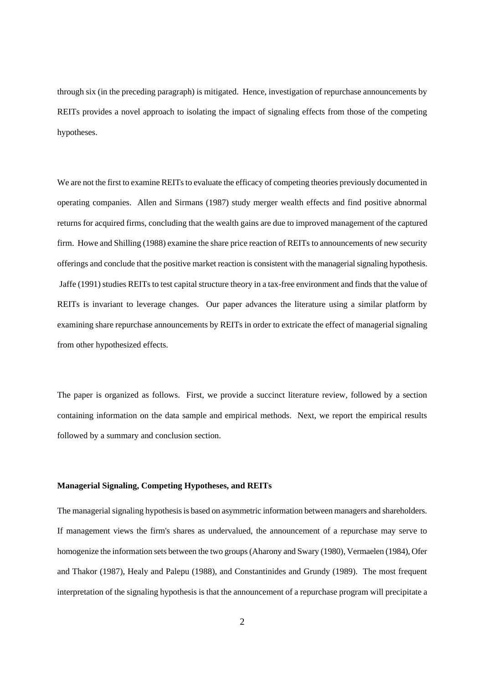through six (in the preceding paragraph) is mitigated. Hence, investigation of repurchase announcements by REITs provides a novel approach to isolating the impact of signaling effects from those of the competing hypotheses.

We are not the first to examine REITs to evaluate the efficacy of competing theories previously documented in operating companies. Allen and Sirmans (1987) study merger wealth effects and find positive abnormal returns for acquired firms, concluding that the wealth gains are due to improved management of the captured firm. Howe and Shilling (1988) examine the share price reaction of REITs to announcements of new security offerings and conclude that the positive market reaction is consistent with the managerial signaling hypothesis. Jaffe (1991) studies REITs to test capital structure theory in a tax-free environment and finds that the value of REITs is invariant to leverage changes. Our paper advances the literature using a similar platform by examining share repurchase announcements by REITs in order to extricate the effect of managerial signaling from other hypothesized effects.

The paper is organized as follows. First, we provide a succinct literature review, followed by a section containing information on the data sample and empirical methods. Next, we report the empirical results followed by a summary and conclusion section.

## **Managerial Signaling, Competing Hypotheses, and REITs**

The managerial signaling hypothesis is based on asymmetric information between managers and shareholders. If management views the firm's shares as undervalued, the announcement of a repurchase may serve to homogenize the information sets between the two groups (Aharony and Swary (1980), Vermaelen (1984), Ofer and Thakor (1987), Healy and Palepu (1988), and Constantinides and Grundy (1989). The most frequent interpretation of the signaling hypothesis is that the announcement of a repurchase program will precipitate a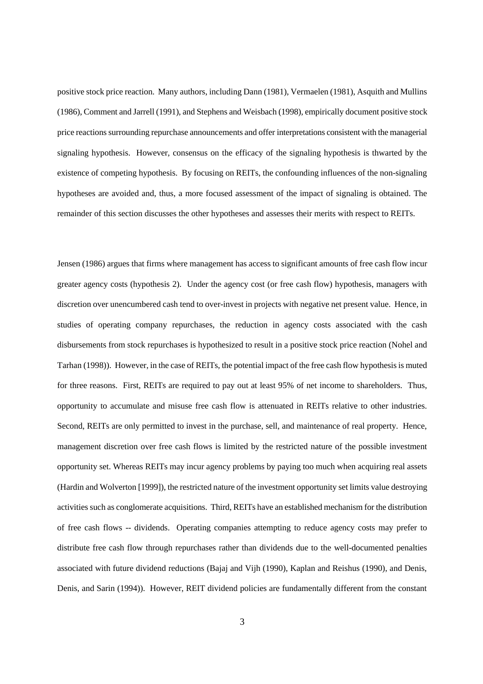positive stock price reaction. Many authors, including Dann (1981), Vermaelen (1981), Asquith and Mullins (1986), Comment and Jarrell (1991), and Stephens and Weisbach (1998), empirically document positive stock price reactions surrounding repurchase announcements and offer interpretations consistent with the managerial signaling hypothesis. However, consensus on the efficacy of the signaling hypothesis is thwarted by the existence of competing hypothesis. By focusing on REITs, the confounding influences of the non-signaling hypotheses are avoided and, thus, a more focused assessment of the impact of signaling is obtained. The remainder of this section discusses the other hypotheses and assesses their merits with respect to REITs.

Jensen (1986) argues that firms where management has access to significant amounts of free cash flow incur greater agency costs (hypothesis 2). Under the agency cost (or free cash flow) hypothesis, managers with discretion over unencumbered cash tend to over-invest in projects with negative net present value. Hence, in studies of operating company repurchases, the reduction in agency costs associated with the cash disbursements from stock repurchases is hypothesized to result in a positive stock price reaction (Nohel and Tarhan (1998)). However, in the case of REITs, the potential impact of the free cash flow hypothesis is muted for three reasons. First, REITs are required to pay out at least 95% of net income to shareholders. Thus, opportunity to accumulate and misuse free cash flow is attenuated in REITs relative to other industries. Second, REITs are only permitted to invest in the purchase, sell, and maintenance of real property. Hence, management discretion over free cash flows is limited by the restricted nature of the possible investment opportunity set. Whereas REITs may incur agency problems by paying too much when acquiring real assets (Hardin and Wolverton [1999]), the restricted nature of the investment opportunity set limits value destroying activities such as conglomerate acquisitions. Third, REITs have an established mechanism for the distribution of free cash flows -- dividends. Operating companies attempting to reduce agency costs may prefer to distribute free cash flow through repurchases rather than dividends due to the well-documented penalties associated with future dividend reductions (Bajaj and Vijh (1990), Kaplan and Reishus (1990), and Denis, Denis, and Sarin (1994)). However, REIT dividend policies are fundamentally different from the constant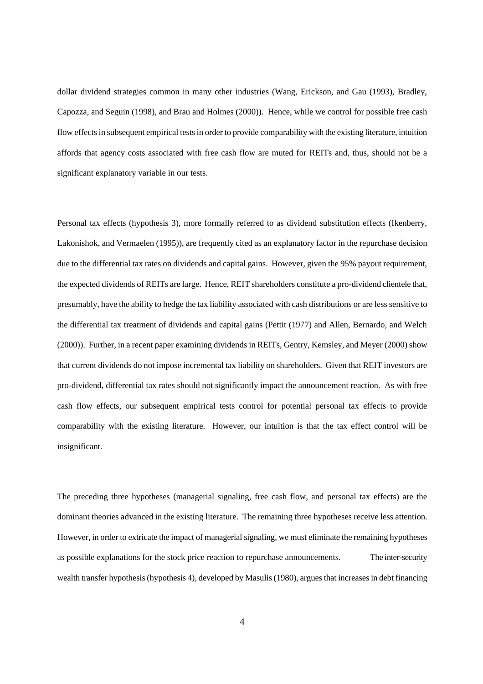dollar dividend strategies common in many other industries (Wang, Erickson, and Gau (1993), Bradley, Capozza, and Seguin (1998), and Brau and Holmes (2000)). Hence, while we control for possible free cash flow effects in subsequent empirical tests in order to provide comparability with the existing literature, intuition affords that agency costs associated with free cash flow are muted for REITs and, thus, should not be a significant explanatory variable in our tests.

Personal tax effects (hypothesis 3), more formally referred to as dividend substitution effects (Ikenberry, Lakonishok, and Vermaelen (1995)), are frequently cited as an explanatory factor in the repurchase decision due to the differential tax rates on dividends and capital gains. However, given the 95% payout requirement, the expected dividends of REITs are large. Hence, REIT shareholders constitute a pro-dividend clientele that, presumably, have the ability to hedge the tax liability associated with cash distributions or are less sensitive to the differential tax treatment of dividends and capital gains (Pettit (1977) and Allen, Bernardo, and Welch (2000)). Further, in a recent paper examining dividends in REITs, Gentry, Kemsley, and Meyer (2000) show that current dividends do not impose incremental tax liability on shareholders. Given that REIT investors are pro-dividend, differential tax rates should not significantly impact the announcement reaction. As with free cash flow effects, our subsequent empirical tests control for potential personal tax effects to provide comparability with the existing literature. However, our intuition is that the tax effect control will be insignificant.

The preceding three hypotheses (managerial signaling, free cash flow, and personal tax effects) are the dominant theories advanced in the existing literature. The remaining three hypotheses receive less attention. However, in order to extricate the impact of managerial signaling, we must eliminate the remaining hypotheses as possible explanations for the stock price reaction to repurchase announcements. The inter-security wealth transfer hypothesis (hypothesis 4), developed by Masulis (1980), argues that increases in debt financing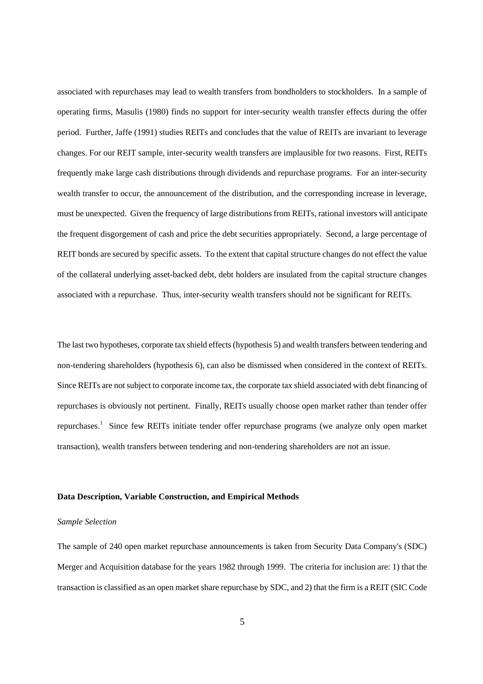associated with repurchases may lead to wealth transfers from bondholders to stockholders. In a sample of operating firms, Masulis (1980) finds no support for inter-security wealth transfer effects during the offer period. Further, Jaffe (1991) studies REITs and concludes that the value of REITs are invariant to leverage changes. For our REIT sample, inter-security wealth transfers are implausible for two reasons. First, REITs frequently make large cash distributions through dividends and repurchase programs. For an inter-security wealth transfer to occur, the announcement of the distribution, and the corresponding increase in leverage, must be unexpected. Given the frequency of large distributions from REITs, rational investors will anticipate the frequent disgorgement of cash and price the debt securities appropriately. Second, a large percentage of REIT bonds are secured by specific assets. To the extent that capital structure changes do not effect the value of the collateral underlying asset-backed debt, debt holders are insulated from the capital structure changes associated with a repurchase. Thus, inter-security wealth transfers should not be significant for REITs.

The last two hypotheses, corporate tax shield effects (hypothesis 5) and wealth transfers between tendering and non-tendering shareholders (hypothesis 6), can also be dismissed when considered in the context of REITs. Since REITs are not subject to corporate income tax, the corporate tax shield associated with debt financing of repurchases is obviously not pertinent. Finally, REITs usually choose open market rather than tender offer repurchases.<sup>1</sup> Since few REITs initiate tender offer repurchase programs (we analyze only open market transaction), wealth transfers between tendering and non-tendering shareholders are not an issue.

#### **Data Description, Variable Construction, and Empirical Methods**

#### *Sample Selection*

The sample of 240 open market repurchase announcements is taken from Security Data Company's (SDC) Merger and Acquisition database for the years 1982 through 1999. The criteria for inclusion are: 1) that the transaction is classified as an open market share repurchase by SDC, and 2) that the firm is a REIT (SIC Code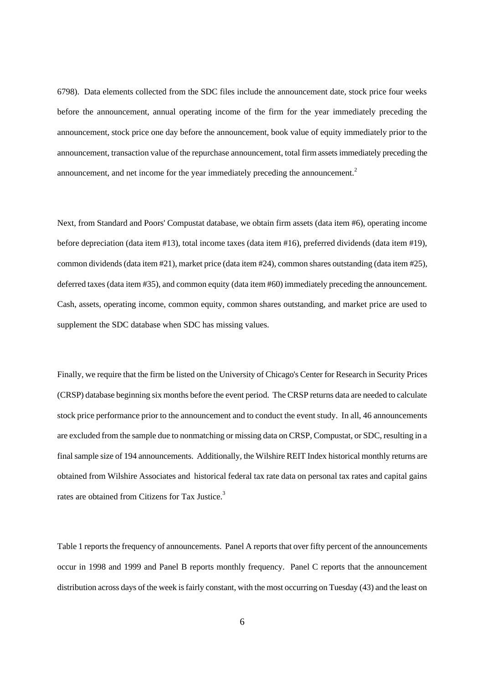6798). Data elements collected from the SDC files include the announcement date, stock price four weeks before the announcement, annual operating income of the firm for the year immediately preceding the announcement, stock price one day before the announcement, book value of equity immediately prior to the announcement, transaction value of the repurchase announcement, total firm assets immediately preceding the announcement, and net income for the year immediately preceding the announcement.<sup>2</sup>

Next, from Standard and Poors' Compustat database, we obtain firm assets (data item #6), operating income before depreciation (data item #13), total income taxes (data item #16), preferred dividends (data item #19), common dividends (data item #21), market price (data item #24), common shares outstanding (data item #25), deferred taxes (data item #35), and common equity (data item #60) immediately preceding the announcement. Cash, assets, operating income, common equity, common shares outstanding, and market price are used to supplement the SDC database when SDC has missing values.

Finally, we require that the firm be listed on the University of Chicago's Center for Research in Security Prices (CRSP) database beginning six months before the event period. The CRSP returns data are needed to calculate stock price performance prior to the announcement and to conduct the event study. In all, 46 announcements are excluded from the sample due to nonmatching or missing data on CRSP, Compustat, or SDC, resulting in a final sample size of 194 announcements. Additionally, the Wilshire REIT Index historical monthly returns are obtained from Wilshire Associates and historical federal tax rate data on personal tax rates and capital gains rates are obtained from Citizens for Tax Justice.<sup>3</sup>

Table 1 reports the frequency of announcements. Panel A reports that over fifty percent of the announcements occur in 1998 and 1999 and Panel B reports monthly frequency. Panel C reports that the announcement distribution across days of the week is fairly constant, with the most occurring on Tuesday (43) and the least on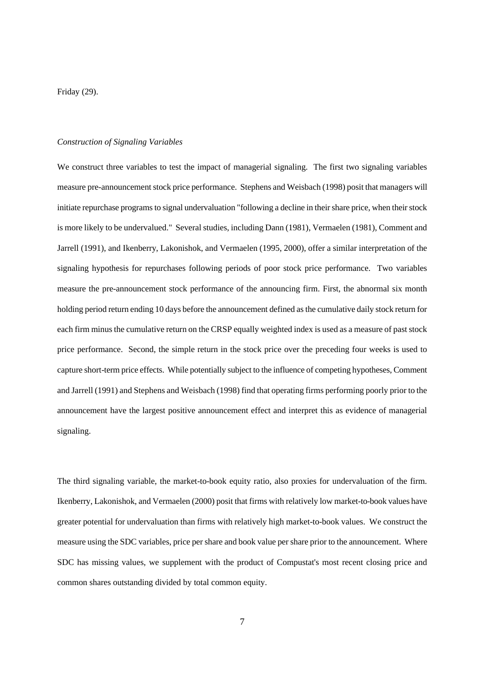Friday (29).

### *Construction of Signaling Variables*

We construct three variables to test the impact of managerial signaling. The first two signaling variables measure pre-announcement stock price performance. Stephens and Weisbach (1998) posit that managers will initiate repurchase programs to signal undervaluation "following a decline in their share price, when their stock is more likely to be undervalued." Several studies, including Dann (1981), Vermaelen (1981), Comment and Jarrell (1991), and Ikenberry, Lakonishok, and Vermaelen (1995, 2000), offer a similar interpretation of the signaling hypothesis for repurchases following periods of poor stock price performance. Two variables measure the pre-announcement stock performance of the announcing firm. First, the abnormal six month holding period return ending 10 days before the announcement defined as the cumulative daily stock return for each firm minus the cumulative return on the CRSP equally weighted index is used as a measure of past stock price performance. Second, the simple return in the stock price over the preceding four weeks is used to capture short-term price effects. While potentially subject to the influence of competing hypotheses, Comment and Jarrell (1991) and Stephens and Weisbach (1998) find that operating firms performing poorly prior to the announcement have the largest positive announcement effect and interpret this as evidence of managerial signaling.

The third signaling variable, the market-to-book equity ratio, also proxies for undervaluation of the firm. Ikenberry, Lakonishok, and Vermaelen (2000) posit that firms with relatively low market-to-book values have greater potential for undervaluation than firms with relatively high market-to-book values. We construct the measure using the SDC variables, price per share and book value per share prior to the announcement. Where SDC has missing values, we supplement with the product of Compustat's most recent closing price and common shares outstanding divided by total common equity.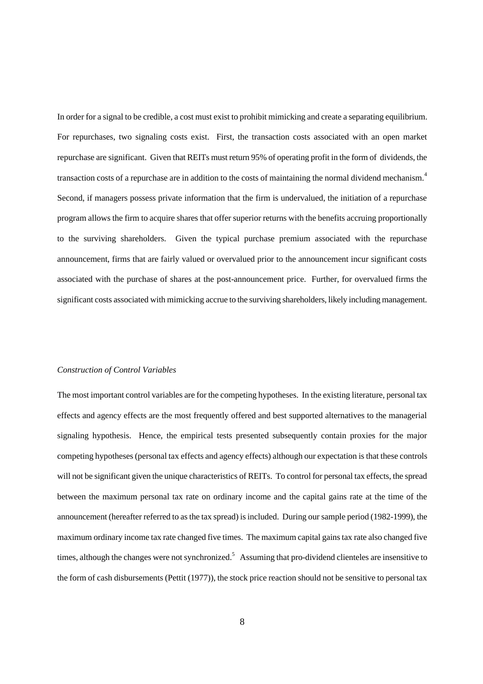In order for a signal to be credible, a cost must exist to prohibit mimicking and create a separating equilibrium. For repurchases, two signaling costs exist. First, the transaction costs associated with an open market repurchase are significant. Given that REITs must return 95% of operating profit in the form of dividends, the transaction costs of a repurchase are in addition to the costs of maintaining the normal dividend mechanism.<sup>4</sup> Second, if managers possess private information that the firm is undervalued, the initiation of a repurchase program allows the firm to acquire shares that offer superior returns with the benefits accruing proportionally to the surviving shareholders. Given the typical purchase premium associated with the repurchase announcement, firms that are fairly valued or overvalued prior to the announcement incur significant costs associated with the purchase of shares at the post-announcement price. Further, for overvalued firms the significant costs associated with mimicking accrue to the surviving shareholders, likely including management.

## *Construction of Control Variables*

The most important control variables are for the competing hypotheses. In the existing literature, personal tax effects and agency effects are the most frequently offered and best supported alternatives to the managerial signaling hypothesis. Hence, the empirical tests presented subsequently contain proxies for the major competing hypotheses (personal tax effects and agency effects) although our expectation is that these controls will not be significant given the unique characteristics of REITs. To control for personal tax effects, the spread between the maximum personal tax rate on ordinary income and the capital gains rate at the time of the announcement (hereafter referred to as the tax spread) is included. During our sample period (1982-1999), the maximum ordinary income tax rate changed five times. The maximum capital gains tax rate also changed five times, although the changes were not synchronized.<sup>5</sup> Assuming that pro-dividend clienteles are insensitive to the form of cash disbursements (Pettit (1977)), the stock price reaction should not be sensitive to personal tax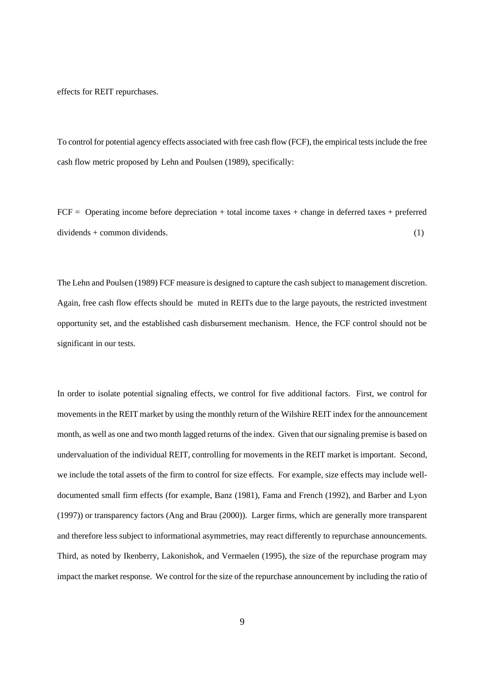effects for REIT repurchases.

To control for potential agency effects associated with free cash flow (FCF), the empirical tests include the free cash flow metric proposed by Lehn and Poulsen (1989), specifically:

 $FCF =$  Operating income before depreciation + total income taxes + change in deferred taxes + preferred dividends + common dividends. (1)

The Lehn and Poulsen (1989) FCF measure is designed to capture the cash subject to management discretion. Again, free cash flow effects should be muted in REITs due to the large payouts, the restricted investment opportunity set, and the established cash disbursement mechanism. Hence, the FCF control should not be significant in our tests.

In order to isolate potential signaling effects, we control for five additional factors. First, we control for movements in the REIT market by using the monthly return of the Wilshire REIT index for the announcement month, as well as one and two month lagged returns of the index. Given that our signaling premise is based on undervaluation of the individual REIT, controlling for movements in the REIT market is important. Second, we include the total assets of the firm to control for size effects. For example, size effects may include welldocumented small firm effects (for example, Banz (1981), Fama and French (1992), and Barber and Lyon (1997)) or transparency factors (Ang and Brau (2000)). Larger firms, which are generally more transparent and therefore less subject to informational asymmetries, may react differently to repurchase announcements. Third, as noted by Ikenberry, Lakonishok, and Vermaelen (1995), the size of the repurchase program may impact the market response. We control for the size of the repurchase announcement by including the ratio of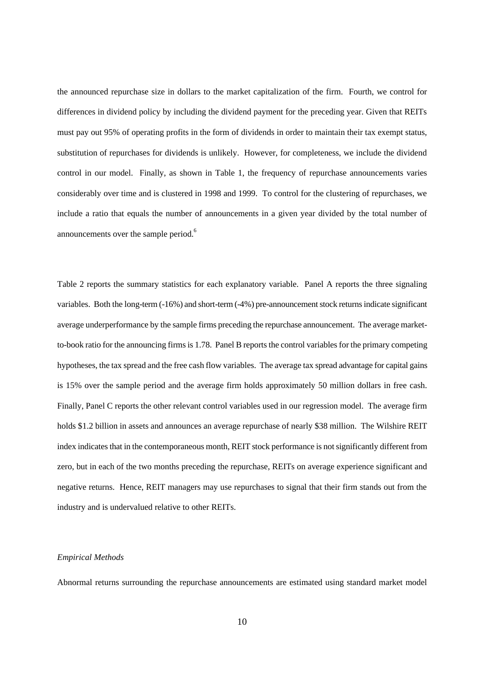the announced repurchase size in dollars to the market capitalization of the firm. Fourth, we control for differences in dividend policy by including the dividend payment for the preceding year. Given that REITs must pay out 95% of operating profits in the form of dividends in order to maintain their tax exempt status, substitution of repurchases for dividends is unlikely. However, for completeness, we include the dividend control in our model. Finally, as shown in Table 1, the frequency of repurchase announcements varies considerably over time and is clustered in 1998 and 1999. To control for the clustering of repurchases, we include a ratio that equals the number of announcements in a given year divided by the total number of announcements over the sample period.<sup>6</sup>

Table 2 reports the summary statistics for each explanatory variable. Panel A reports the three signaling variables. Both the long-term (-16%) and short-term (-4%) pre-announcement stock returns indicate significant average underperformance by the sample firms preceding the repurchase announcement. The average marketto-book ratio for the announcing firms is 1.78. Panel B reports the control variables for the primary competing hypotheses, the tax spread and the free cash flow variables. The average tax spread advantage for capital gains is 15% over the sample period and the average firm holds approximately 50 million dollars in free cash. Finally, Panel C reports the other relevant control variables used in our regression model. The average firm holds \$1.2 billion in assets and announces an average repurchase of nearly \$38 million. The Wilshire REIT index indicates that in the contemporaneous month, REIT stock performance is not significantly different from zero, but in each of the two months preceding the repurchase, REITs on average experience significant and negative returns. Hence, REIT managers may use repurchases to signal that their firm stands out from the industry and is undervalued relative to other REITs.

### *Empirical Methods*

Abnormal returns surrounding the repurchase announcements are estimated using standard market model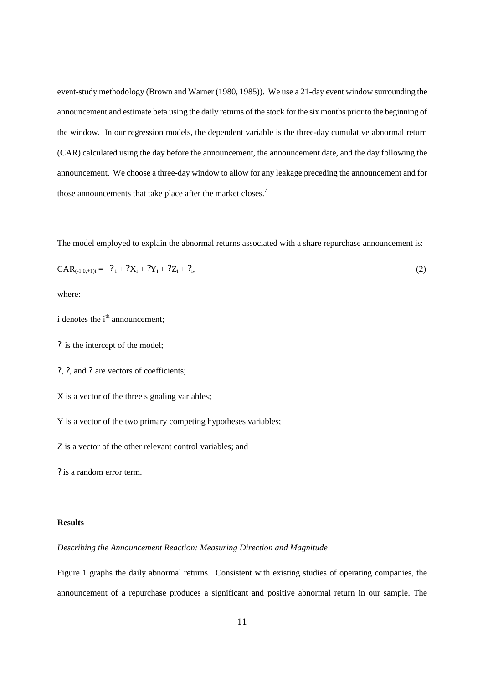event-study methodology (Brown and Warner (1980, 1985)). We use a 21-day event window surrounding the announcement and estimate beta using the daily returns of the stock for the six months prior to the beginning of the window. In our regression models, the dependent variable is the three-day cumulative abnormal return (CAR) calculated using the day before the announcement, the announcement date, and the day following the announcement. We choose a three-day window to allow for any leakage preceding the announcement and for those announcements that take place after the market closes.<sup>7</sup>

The model employed to explain the abnormal returns associated with a share repurchase announcement is:

$$
CAR_{(-1,0,+1)i} = ?_i + ?X_i + ?Y_i + ?Z_i + ?_i,
$$
\n(2)

where:

- i denotes the i<sup>th</sup> announcement;
- ? is the intercept of the model;
- ?, ?, and ? are vectors of coefficients;
- X is a vector of the three signaling variables;
- Y is a vector of the two primary competing hypotheses variables;

Z is a vector of the other relevant control variables; and

? is a random error term.

## **Results**

### *Describing the Announcement Reaction: Measuring Direction and Magnitude*

Figure 1 graphs the daily abnormal returns. Consistent with existing studies of operating companies, the announcement of a repurchase produces a significant and positive abnormal return in our sample. The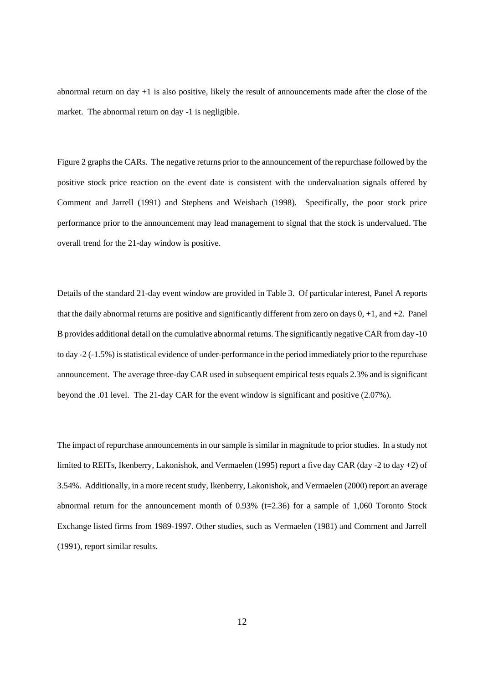abnormal return on day +1 is also positive, likely the result of announcements made after the close of the market. The abnormal return on day -1 is negligible.

Figure 2 graphs the CARs. The negative returns prior to the announcement of the repurchase followed by the positive stock price reaction on the event date is consistent with the undervaluation signals offered by Comment and Jarrell (1991) and Stephens and Weisbach (1998). Specifically, the poor stock price performance prior to the announcement may lead management to signal that the stock is undervalued. The overall trend for the 21-day window is positive.

Details of the standard 21-day event window are provided in Table 3. Of particular interest, Panel A reports that the daily abnormal returns are positive and significantly different from zero on days 0, +1, and +2. Panel B provides additional detail on the cumulative abnormal returns. The significantly negative CAR from day -10 to day -2 (-1.5%) is statistical evidence of under-performance in the period immediately prior to the repurchase announcement. The average three-day CAR used in subsequent empirical tests equals 2.3% and is significant beyond the .01 level. The 21-day CAR for the event window is significant and positive (2.07%).

The impact of repurchase announcements in our sample is similar in magnitude to prior studies. In a study not limited to REITs, Ikenberry, Lakonishok, and Vermaelen (1995) report a five day CAR (day -2 to day +2) of 3.54%. Additionally, in a more recent study, Ikenberry, Lakonishok, and Vermaelen (2000) report an average abnormal return for the announcement month of  $0.93\%$  (t=2.36) for a sample of 1,060 Toronto Stock Exchange listed firms from 1989-1997. Other studies, such as Vermaelen (1981) and Comment and Jarrell (1991), report similar results.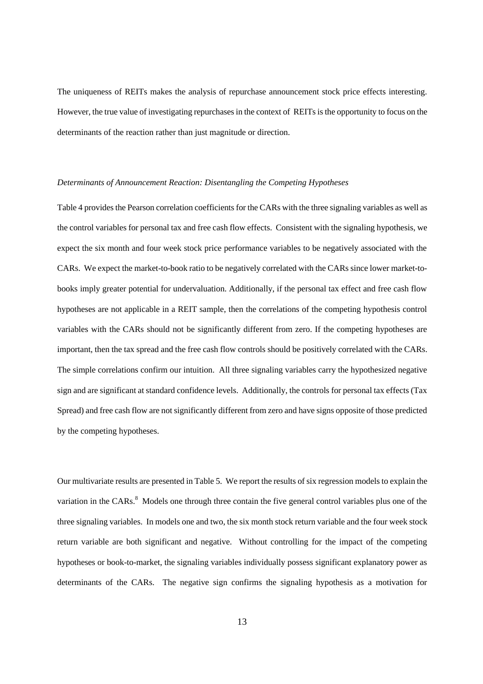The uniqueness of REITs makes the analysis of repurchase announcement stock price effects interesting. However, the true value of investigating repurchases in the context of REITs is the opportunity to focus on the determinants of the reaction rather than just magnitude or direction.

### *Determinants of Announcement Reaction: Disentangling the Competing Hypotheses*

Table 4 provides the Pearson correlation coefficients for the CARs with the three signaling variables as well as the control variables for personal tax and free cash flow effects. Consistent with the signaling hypothesis, we expect the six month and four week stock price performance variables to be negatively associated with the CARs. We expect the market-to-book ratio to be negatively correlated with the CARs since lower market-tobooks imply greater potential for undervaluation. Additionally, if the personal tax effect and free cash flow hypotheses are not applicable in a REIT sample, then the correlations of the competing hypothesis control variables with the CARs should not be significantly different from zero. If the competing hypotheses are important, then the tax spread and the free cash flow controls should be positively correlated with the CARs. The simple correlations confirm our intuition. All three signaling variables carry the hypothesized negative sign and are significant at standard confidence levels. Additionally, the controls for personal tax effects (Tax Spread) and free cash flow are not significantly different from zero and have signs opposite of those predicted by the competing hypotheses.

Our multivariate results are presented in Table 5. We report the results of six regression models to explain the variation in the CARs.<sup>8</sup> Models one through three contain the five general control variables plus one of the three signaling variables. In models one and two, the six month stock return variable and the four week stock return variable are both significant and negative. Without controlling for the impact of the competing hypotheses or book-to-market, the signaling variables individually possess significant explanatory power as determinants of the CARs. The negative sign confirms the signaling hypothesis as a motivation for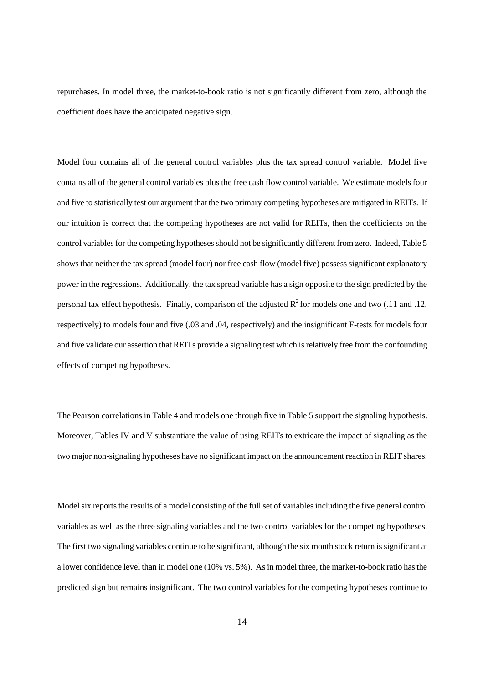repurchases. In model three, the market-to-book ratio is not significantly different from zero, although the coefficient does have the anticipated negative sign.

Model four contains all of the general control variables plus the tax spread control variable. Model five contains all of the general control variables plus the free cash flow control variable. We estimate models four and five to statistically test our argument that the two primary competing hypotheses are mitigated in REITs. If our intuition is correct that the competing hypotheses are not valid for REITs, then the coefficients on the control variables for the competing hypotheses should not be significantly different from zero. Indeed, Table 5 shows that neither the tax spread (model four) nor free cash flow (model five) possess significant explanatory power in the regressions. Additionally, the tax spread variable has a sign opposite to the sign predicted by the personal tax effect hypothesis. Finally, comparison of the adjusted  $R^2$  for models one and two (.11 and .12, respectively) to models four and five (.03 and .04, respectively) and the insignificant F-tests for models four and five validate our assertion that REITs provide a signaling test which is relatively free from the confounding effects of competing hypotheses.

The Pearson correlations in Table 4 and models one through five in Table 5 support the signaling hypothesis. Moreover, Tables IV and V substantiate the value of using REITs to extricate the impact of signaling as the two major non-signaling hypotheses have no significant impact on the announcement reaction in REIT shares.

Model six reports the results of a model consisting of the full set of variables including the five general control variables as well as the three signaling variables and the two control variables for the competing hypotheses. The first two signaling variables continue to be significant, although the six month stock return is significant at a lower confidence level than in model one (10% vs. 5%). As in model three, the market-to-book ratio has the predicted sign but remains insignificant. The two control variables for the competing hypotheses continue to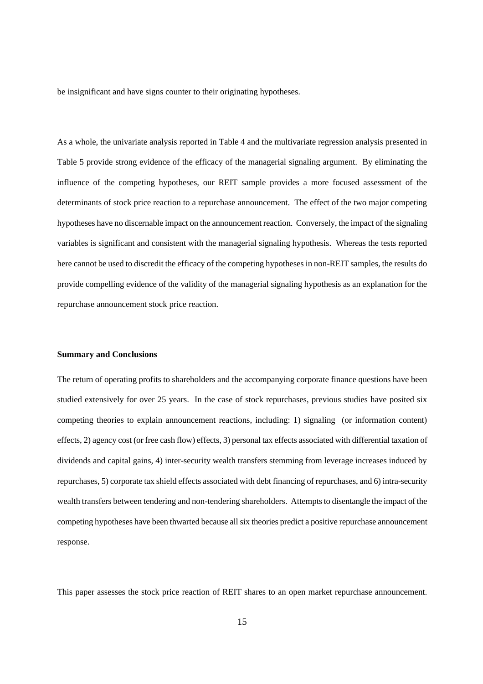be insignificant and have signs counter to their originating hypotheses.

As a whole, the univariate analysis reported in Table 4 and the multivariate regression analysis presented in Table 5 provide strong evidence of the efficacy of the managerial signaling argument. By eliminating the influence of the competing hypotheses, our REIT sample provides a more focused assessment of the determinants of stock price reaction to a repurchase announcement. The effect of the two major competing hypotheses have no discernable impact on the announcement reaction. Conversely, the impact of the signaling variables is significant and consistent with the managerial signaling hypothesis. Whereas the tests reported here cannot be used to discredit the efficacy of the competing hypotheses in non-REIT samples, the results do provide compelling evidence of the validity of the managerial signaling hypothesis as an explanation for the repurchase announcement stock price reaction.

#### **Summary and Conclusions**

The return of operating profits to shareholders and the accompanying corporate finance questions have been studied extensively for over 25 years. In the case of stock repurchases, previous studies have posited six competing theories to explain announcement reactions, including: 1) signaling (or information content) effects, 2) agency cost (or free cash flow) effects, 3) personal tax effects associated with differential taxation of dividends and capital gains, 4) inter-security wealth transfers stemming from leverage increases induced by repurchases, 5) corporate tax shield effects associated with debt financing of repurchases, and 6) intra-security wealth transfers between tendering and non-tendering shareholders. Attempts to disentangle the impact of the competing hypotheses have been thwarted because all six theories predict a positive repurchase announcement response.

This paper assesses the stock price reaction of REIT shares to an open market repurchase announcement.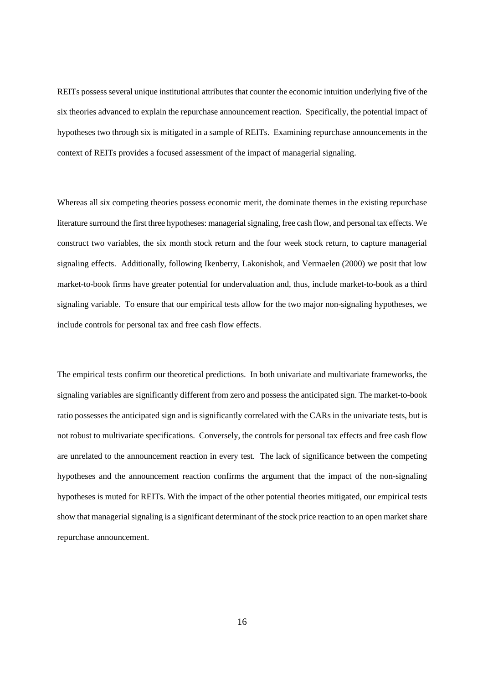REITs possess several unique institutional attributes that counter the economic intuition underlying five of the six theories advanced to explain the repurchase announcement reaction. Specifically, the potential impact of hypotheses two through six is mitigated in a sample of REITs. Examining repurchase announcements in the context of REITs provides a focused assessment of the impact of managerial signaling.

Whereas all six competing theories possess economic merit, the dominate themes in the existing repurchase literature surround the first three hypotheses: managerial signaling, free cash flow, and personal tax effects. We construct two variables, the six month stock return and the four week stock return, to capture managerial signaling effects. Additionally, following Ikenberry, Lakonishok, and Vermaelen (2000) we posit that low market-to-book firms have greater potential for undervaluation and, thus, include market-to-book as a third signaling variable. To ensure that our empirical tests allow for the two major non-signaling hypotheses, we include controls for personal tax and free cash flow effects.

The empirical tests confirm our theoretical predictions. In both univariate and multivariate frameworks, the signaling variables are significantly different from zero and possess the anticipated sign. The market-to-book ratio possesses the anticipated sign and is significantly correlated with the CARs in the univariate tests, but is not robust to multivariate specifications. Conversely, the controls for personal tax effects and free cash flow are unrelated to the announcement reaction in every test. The lack of significance between the competing hypotheses and the announcement reaction confirms the argument that the impact of the non-signaling hypotheses is muted for REITs. With the impact of the other potential theories mitigated, our empirical tests show that managerial signaling is a significant determinant of the stock price reaction to an open market share repurchase announcement.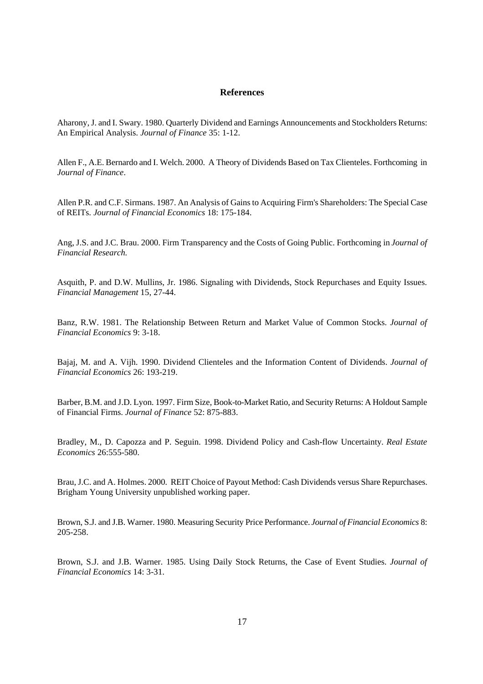## **References**

Aharony, J. and I. Swary. 1980. Quarterly Dividend and Earnings Announcements and Stockholders Returns: An Empirical Analysis. *Journal of Finance* 35: 1-12.

Allen F., A.E. Bernardo and I. Welch. 2000. A Theory of Dividends Based on Tax Clienteles. Forthcoming in *Journal of Finance*.

Allen P.R. and C.F. Sirmans. 1987. An Analysis of Gains to Acquiring Firm's Shareholders: The Special Case of REITs. *Journal of Financial Economics* 18: 175-184.

Ang, J.S. and J.C. Brau. 2000. Firm Transparency and the Costs of Going Public. Forthcoming in *Journal of Financial Research.*

Asquith, P. and D.W. Mullins, Jr. 1986. Signaling with Dividends, Stock Repurchases and Equity Issues. *Financial Management* 15, 27-44.

Banz, R.W. 1981. The Relationship Between Return and Market Value of Common Stocks. *Journal of Financial Economics* 9: 3-18.

Bajaj, M. and A. Vijh. 1990. Dividend Clienteles and the Information Content of Dividends. *Journal of Financial Economics* 26: 193-219.

Barber, B.M. and J.D. Lyon. 1997. Firm Size, Book-to-Market Ratio, and Security Returns: A Holdout Sample of Financial Firms. *Journal of Finance* 52: 875-883.

Bradley, M., D. Capozza and P. Seguin. 1998. Dividend Policy and Cash-flow Uncertainty. *Real Estate Economics* 26:555-580.

Brau, J.C. and A. Holmes. 2000. REIT Choice of Payout Method: Cash Dividends versus Share Repurchases. Brigham Young University unpublished working paper.

Brown, S.J. and J.B. Warner. 1980. Measuring Security Price Performance. *Journal of Financial Economics* 8: 205-258.

Brown, S.J. and J.B. Warner. 1985. Using Daily Stock Returns, the Case of Event Studies. *Journal of Financial Economics* 14: 3-31.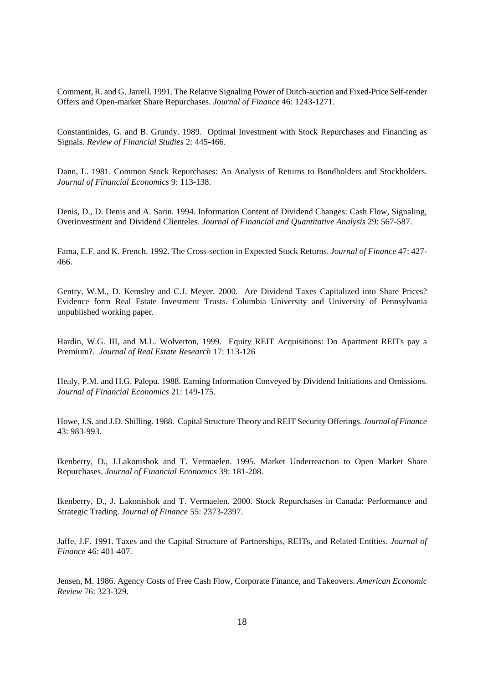Comment, R. and G. Jarrell. 1991. The Relative Signaling Power of Dutch-auction and Fixed-Price Self-tender Offers and Open-market Share Repurchases. *Journal of Finance* 46: 1243-1271.

Constantinides, G. and B. Grundy. 1989. Optimal Investment with Stock Repurchases and Financing as Signals. *Review of Financial Studies* 2: 445-466.

Dann, L. 1981. Common Stock Repurchases: An Analysis of Returns to Bondholders and Stockholders. *Journal of Financial Economics* 9: 113-138.

Denis, D., D. Denis and A. Sarin. 1994. Information Content of Dividend Changes: Cash Flow, Signaling, Overinvestment and Dividend Clienteles. *Journal of Financial and Quantitative Analysis* 29: 567-587.

Fama, E.F. and K. French. 1992. The Cross-section in Expected Stock Returns. *Journal of Finance* 47: 427- 466.

Gentry, W.M., D. Kemsley and C.J. Meyer. 2000. Are Dividend Taxes Capitalized into Share Prices? Evidence form Real Estate Investment Trusts. Columbia University and University of Pennsylvania unpublished working paper.

Hardin, W.G. III, and M.L. Wolverton, 1999. Equity REIT Acquisitions: Do Apartment REITs pay a Premium?. *Journal of Real Estate Research* 17: 113-126

Healy, P.M. and H.G. Palepu. 1988. Earning Information Conveyed by Dividend Initiations and Omissions. *Journal of Financial Economics* 21: 149-175.

Howe, J.S. and J.D. Shilling. 1988. Capital Structure Theory and REIT Security Offerings. *Journal of Finance* 43: 983-993.

Ikenberry, D., J.Lakonishok and T. Vermaelen. 1995. Market Underreaction to Open Market Share Repurchases. *Journal of Financial Economics* 39: 181-208.

Ikenberry, D., J. Lakonishok and T. Vermaelen. 2000. Stock Repurchases in Canada: Performance and Strategic Trading. *Journal of Finance* 55: 2373-2397.

Jaffe, J.F. 1991. Taxes and the Capital Structure of Partnerships, REITs, and Related Entities. *Journal of Finance* 46: 401-407.

Jensen, M. 1986. Agency Costs of Free Cash Flow, Corporate Finance, and Takeovers. *American Economic Review* 76: 323-329.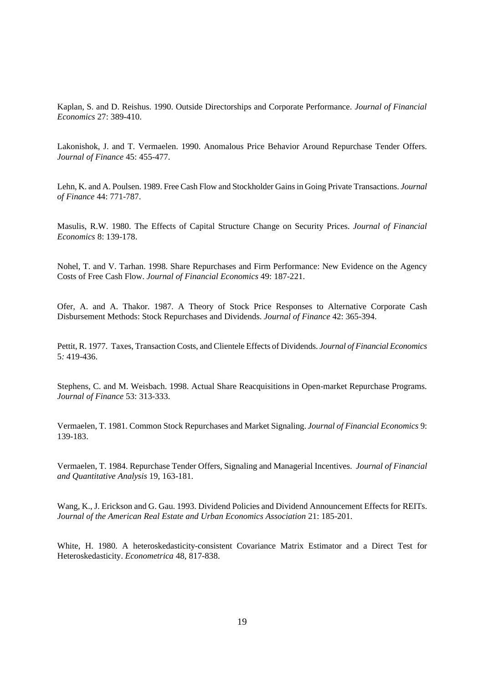Kaplan, S. and D. Reishus. 1990. Outside Directorships and Corporate Performance. *Journal of Financial Economics* 27: 389-410.

Lakonishok, J. and T. Vermaelen. 1990. Anomalous Price Behavior Around Repurchase Tender Offers. *Journal of Finance* 45: 455-477.

Lehn, K. and A. Poulsen. 1989. Free Cash Flow and Stockholder Gains in Going Private Transactions. *Journal of Finance* 44: 771-787.

Masulis, R.W. 1980. The Effects of Capital Structure Change on Security Prices. *Journal of Financial Economics* 8: 139-178.

Nohel, T. and V. Tarhan. 1998. Share Repurchases and Firm Performance: New Evidence on the Agency Costs of Free Cash Flow. *Journal of Financial Economics* 49: 187-221.

Ofer, A. and A. Thakor. 1987. A Theory of Stock Price Responses to Alternative Corporate Cash Disbursement Methods: Stock Repurchases and Dividends. *Journal of Finance* 42: 365-394.

Pettit, R. 1977. Taxes, Transaction Costs, and Clientele Effects of Dividends. *Journal of Financial Economics* 5*:* 419-436.

Stephens, C. and M. Weisbach. 1998. Actual Share Reacquisitions in Open-market Repurchase Programs. *Journal of Finance* 53: 313-333.

Vermaelen, T. 1981. Common Stock Repurchases and Market Signaling. *Journal of Financial Economics* 9: 139-183.

Vermaelen, T. 1984. Repurchase Tender Offers, Signaling and Managerial Incentives. *Journal of Financial and Quantitative Analysis* 19, 163-181.

Wang, K., J. Erickson and G. Gau. 1993. Dividend Policies and Dividend Announcement Effects for REITs. *Journal of the American Real Estate and Urban Economics Association* 21: 185-201.

White, H. 1980. A heteroskedasticity-consistent Covariance Matrix Estimator and a Direct Test for Heteroskedasticity. *Econometrica* 48, 817-838.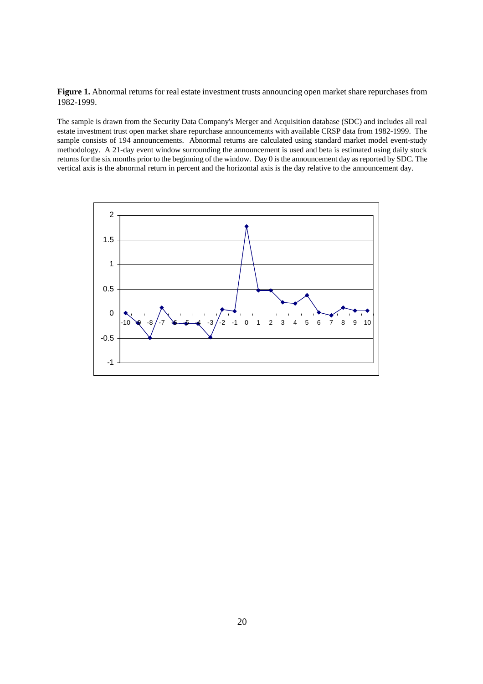**Figure 1.** Abnormal returns for real estate investment trusts announcing open market share repurchases from 1982-1999.

The sample is drawn from the Security Data Company's Merger and Acquisition database (SDC) and includes all real estate investment trust open market share repurchase announcements with available CRSP data from 1982-1999. The sample consists of 194 announcements. Abnormal returns are calculated using standard market model event-study methodology. A 21-day event window surrounding the announcement is used and beta is estimated using daily stock returns for the six months prior to the beginning of the window. Day 0 is the announcement day as reported by SDC. The vertical axis is the abnormal return in percent and the horizontal axis is the day relative to the announcement day.

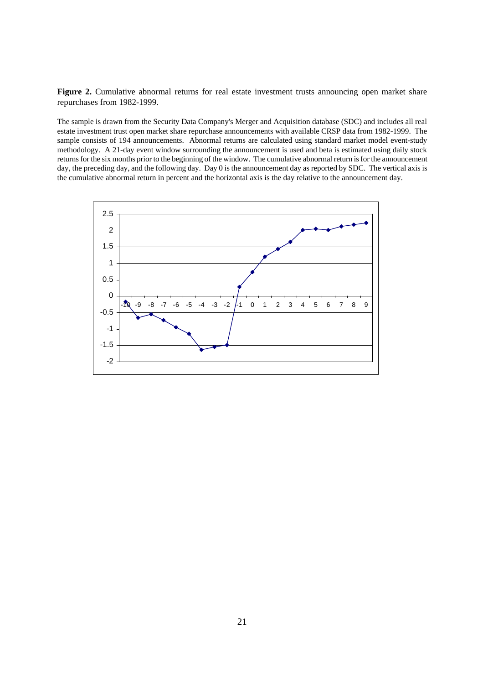**Figure 2.** Cumulative abnormal returns for real estate investment trusts announcing open market share repurchases from 1982-1999.

The sample is drawn from the Security Data Company's Merger and Acquisition database (SDC) and includes all real estate investment trust open market share repurchase announcements with available CRSP data from 1982-1999. The sample consists of 194 announcements. Abnormal returns are calculated using standard market model event-study methodology. A 21-day event window surrounding the announcement is used and beta is estimated using daily stock returns for the six months prior to the beginning of the window. The cumulative abnormal return is for the announcement day, the preceding day, and the following day. Day 0 is the announcement day as reported by SDC. The vertical axis is the cumulative abnormal return in percent and the horizontal axis is the day relative to the announcement day.

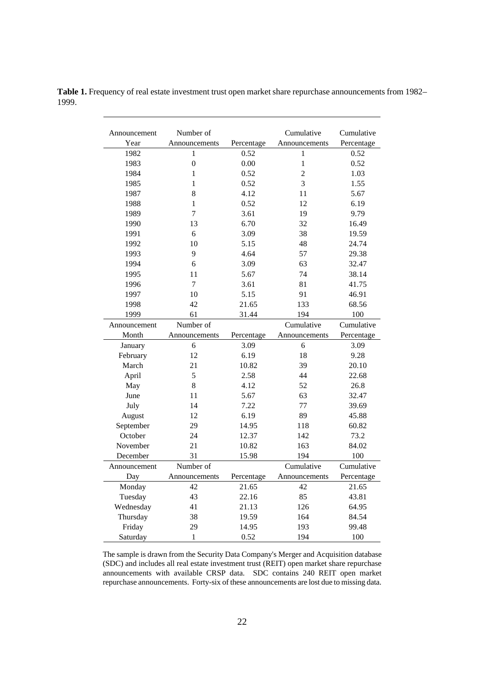| Table 1. Frequency of real estate investment trust open market share repurchase announcements from 1982– |  |
|----------------------------------------------------------------------------------------------------------|--|
| 1999.                                                                                                    |  |

| Announcement | Number of        |            | Cumulative     |            |
|--------------|------------------|------------|----------------|------------|
| Year         | Announcements    | Percentage | Percentage     |            |
| 1982         | $\mathbf{1}$     | 0.52       | $\mathbf{1}$   |            |
| 1983         | $\boldsymbol{0}$ | $0.00\,$   | $\mathbf 1$    | 0.52       |
| 1984         | $\mathbf{1}$     | 0.52       | $\overline{2}$ | 1.03       |
| 1985         | $\mathbf{1}$     | 0.52       | 3              | 1.55       |
| 1987         | 8                | 4.12       | 11             | 5.67       |
| 1988         | $\mathbf{1}$     | 0.52       | 12             | 6.19       |
| 1989         | $\overline{7}$   | 3.61       | 19             | 9.79       |
| 1990         | 13               | 6.70       | 32             | 16.49      |
| 1991         | 6                | 3.09       | 38             | 19.59      |
| 1992         | 10               | 5.15       | 48             | 24.74      |
| 1993         | 9                | 4.64       | 57             | 29.38      |
| 1994         | 6                | 3.09       | 63             | 32.47      |
| 1995         | 11               | 5.67       | 74             | 38.14      |
| 1996         | $\overline{7}$   | 3.61       | 81             | 41.75      |
| 1997         | 10               | 5.15       | 91             | 46.91      |
| 1998         | 42               | 21.65      | 133            | 68.56      |
| 1999         | 61               | 31.44      | 194            | 100        |
| Announcement | Number of        |            | Cumulative     | Cumulative |
| Month        | Announcements    | Percentage | Announcements  | Percentage |
| January      | 6                | 3.09       | 6              | 3.09       |
| February     | 12               | 6.19       | 18             | 9.28       |
| March        | 21               | 10.82      | 39             | 20.10      |
| April        | 5                | 2.58       | 44             | 22.68      |
| May          | 8                | 4.12       | 52             | 26.8       |
| June         | 11               | 5.67       | 63             | 32.47      |
| July         | 14               | 7.22       | 77             | 39.69      |
| August       | 12               | 6.19       | 89             | 45.88      |
| September    | 29               | 14.95      | 118            | 60.82      |
| October      | 24               | 12.37      | 142            | 73.2       |
| November     | 21               | 10.82      | 163            | 84.02      |
| December     | 31               | 15.98      | 194            | 100        |
| Announcement | Number of        |            | Cumulative     | Cumulative |
| Day          | Announcements    | Percentage | Announcements  | Percentage |
| Monday       | 42               | 21.65      | 42             | 21.65      |
| Tuesday      | 43               | 22.16      | 85             | 43.81      |
| Wednesday    | 41               | 21.13      | 126            | 64.95      |
| Thursday     | 38               | 19.59      | 164            | 84.54      |
| Friday       | 29               | 14.95      | 193            | 99.48      |
| Saturday     | $\mathbf{1}$     | 0.52       | 194            | 100        |

The sample is drawn from the Security Data Company's Merger and Acquisition database (SDC) and includes all real estate investment trust (REIT) open market share repurchase announcements with available CRSP data. SDC contains 240 REIT open market repurchase announcements. Forty-six of these announcements are lost due to missing data.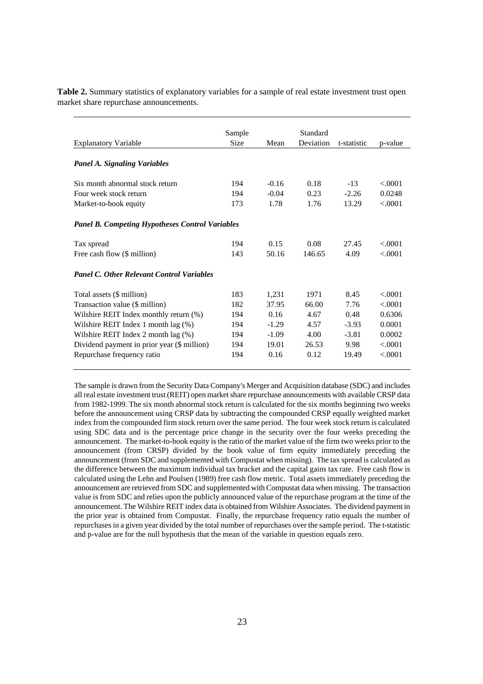**Table 2.** Summary statistics of explanatory variables for a sample of real estate investment trust open market share repurchase announcements.

|                                                        | Sample      |         | Standard  |             |         |
|--------------------------------------------------------|-------------|---------|-----------|-------------|---------|
| <b>Explanatory Variable</b>                            | <b>Size</b> | Mean    | Deviation | t-statistic | p-value |
|                                                        |             |         |           |             |         |
| <b>Panel A. Signaling Variables</b>                    |             |         |           |             |         |
| Six month abnormal stock return                        | 194         | $-0.16$ | 0.18      | $-13$       | < 0.001 |
| Four week stock return                                 | 194         | $-0.04$ | 0.23      | $-2.26$     | 0.0248  |
| Market-to-book equity                                  | 173         | 1.78    | 1.76      | 13.29       | < 0001  |
|                                                        |             |         |           |             |         |
| <b>Panel B. Competing Hypotheses Control Variables</b> |             |         |           |             |         |
|                                                        |             |         |           |             |         |
| Tax spread                                             | 194         | 0.15    | 0.08      | 27.45       | < 0.001 |
| Free cash flow (\$ million)                            | 143         | 50.16   | 146.65    | 4.09        | < 0001  |
| <b>Panel C. Other Relevant Control Variables</b>       |             |         |           |             |         |
|                                                        |             |         |           |             |         |
| Total assets (\$ million)                              | 183         | 1,231   | 1971      | 8.45        | < 0.001 |
| Transaction value (\$ million)                         | 182         | 37.95   | 66.00     | 7.76        | < 0001  |
| Wilshire REIT Index monthly return (%)                 | 194         | 0.16    | 4.67      | 0.48        | 0.6306  |
| Wilshire REIT Index 1 month $lag$ $(\%)$               | 194         | $-1.29$ | 4.57      | $-3.93$     | 0.0001  |
| Wilshire REIT Index 2 month lag (%)                    | 194         | $-1.09$ | 4.00      | $-3.81$     | 0.0002  |
| Dividend payment in prior year (\$ million)            | 194         | 19.01   | 26.53     | 9.98        | < 0001  |
| Repurchase frequency ratio                             | 194         | 0.16    | 0.12      | 19.49       | < .0001 |
|                                                        |             |         |           |             |         |

The sample is drawn from the Security Data Company's Merger and Acquisition database (SDC) and includes all real estate investment trust (REIT) open market share repurchase announcements with available CRSP data from 1982-1999. The six month abnormal stock return is calculated for the six months beginning two weeks before the announcement using CRSP data by subtracting the compounded CRSP equally weighted market index from the compounded firm stock return over the same period. The four week stock return is calculated using SDC data and is the percentage price change in the security over the four weeks preceding the announcement. The market-to-book equity is the ratio of the market value of the firm two weeks prior to the announcement (from CRSP) divided by the book value of firm equity immediately preceding the announcement (from SDC and supplemented with Compustat when missing). The tax spread is calculated as the difference between the maximum individual tax bracket and the capital gains tax rate. Free cash flow is calculated using the Lehn and Poulsen (1989) free cash flow metric. Total assets immediately preceding the announcement are retrieved from SDC and supplemented with Compustat data when missing. The transaction value is from SDC and relies upon the publicly announced value of the repurchase program at the time of the announcement. The Wilshire REIT index data is obtained from Wilshire Associates. The dividend payment in the prior year is obtained from Compustat. Finally, the repurchase frequency ratio equals the number of repurchases in a given year divided by the total number of repurchases over the sample period. The t-statistic and p-value are for the null hypothesis that the mean of the variable in question equals zero.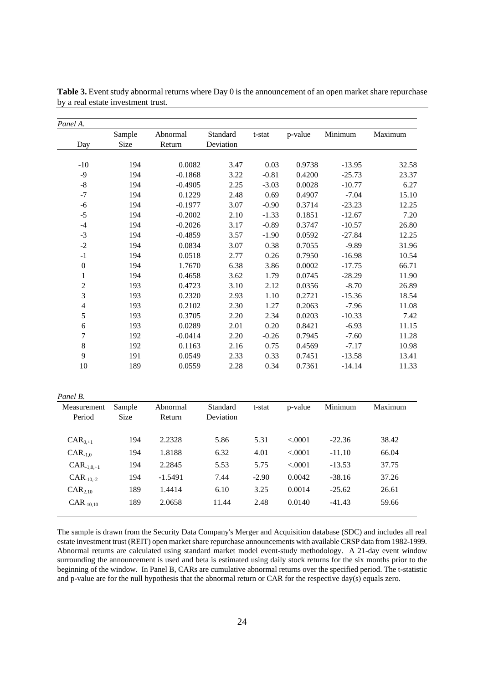|                         | Sample | Abnormal  | Standard  | t-stat  | p-value | Minimum  | Maximum |
|-------------------------|--------|-----------|-----------|---------|---------|----------|---------|
| Day                     | Size   | Return    | Deviation |         |         |          |         |
|                         |        |           |           |         |         |          |         |
| $-10$                   | 194    | 0.0082    | 3.47      | 0.03    | 0.9738  | $-13.95$ | 32.58   |
| $-9$                    | 194    | $-0.1868$ | 3.22      | $-0.81$ | 0.4200  | $-25.73$ | 23.37   |
| $\mbox{-}8$             | 194    | $-0.4905$ | 2.25      | $-3.03$ | 0.0028  | $-10.77$ | 6.27    |
| $-7$                    | 194    | 0.1229    | 2.48      | 0.69    | 0.4907  | $-7.04$  | 15.10   |
| $-6$                    | 194    | $-0.1977$ | 3.07      | $-0.90$ | 0.3714  | $-23.23$ | 12.25   |
| $-5$                    | 194    | $-0.2002$ | 2.10      | $-1.33$ | 0.1851  | $-12.67$ | 7.20    |
| $-4$                    | 194    | $-0.2026$ | 3.17      | $-0.89$ | 0.3747  | $-10.57$ | 26.80   |
| $-3$                    | 194    | $-0.4859$ | 3.57      | $-1.90$ | 0.0592  | $-27.84$ | 12.25   |
| $-2$                    | 194    | 0.0834    | 3.07      | 0.38    | 0.7055  | $-9.89$  | 31.96   |
| $-1$                    | 194    | 0.0518    | 2.77      | 0.26    | 0.7950  | $-16.98$ | 10.54   |
| $\boldsymbol{0}$        | 194    | 1.7670    | 6.38      | 3.86    | 0.0002  | $-17.75$ | 66.71   |
| $\mathbf{1}$            | 194    | 0.4658    | 3.62      | 1.79    | 0.0745  | $-28.29$ | 11.90   |
| $\sqrt{2}$              | 193    | 0.4723    | 3.10      | 2.12    | 0.0356  | $-8.70$  | 26.89   |
| $\overline{3}$          | 193    | 0.2320    | 2.93      | 1.10    | 0.2721  | $-15.36$ | 18.54   |
| $\overline{\mathbf{4}}$ | 193    | 0.2102    | 2.30      | 1.27    | 0.2063  | $-7.96$  | 11.08   |
| 5                       | 193    | 0.3705    | 2.20      | 2.34    | 0.0203  | $-10.33$ | 7.42    |
| 6                       | 193    | 0.0289    | 2.01      | 0.20    | 0.8421  | $-6.93$  | 11.15   |
| 7                       | 192    | $-0.0414$ | 2.20      | $-0.26$ | 0.7945  | $-7.60$  | 11.28   |
| $8\,$                   | 192    | 0.1163    | 2.16      | 0.75    | 0.4569  | $-7.17$  | 10.98   |
| 9                       | 191    | 0.0549    | 2.33      | 0.33    | 0.7451  | $-13.58$ | 13.41   |
| 10                      | 189    | 0.0559    | 2.28      | 0.34    | 0.7361  | $-14.14$ | 11.33   |

| Table 3. Event study abnormal returns where Day 0 is the announcement of an open market share repurchase |
|----------------------------------------------------------------------------------------------------------|
| by a real estate investment trust.                                                                       |

| Panel B.        |             |           |           |         |         |          |         |
|-----------------|-------------|-----------|-----------|---------|---------|----------|---------|
| Measurement     | Sample      | Abnormal  | Standard  | t-stat  | p-value | Minimum  | Maximum |
| Period          | <b>Size</b> | Return    | Deviation |         |         |          |         |
|                 |             |           |           |         |         |          |         |
| $CAR_{0,+1}$    | 194         | 2.2328    | 5.86      | 5.31    | < 0.001 | $-22.36$ | 38.42   |
| $CAR_{-1.0}$    | 194         | 1.8188    | 6.32      | 4.01    | < 0.001 | $-11.10$ | 66.04   |
| $CAR_{-1,0,+1}$ | 194         | 2.2845    | 5.53      | 5.75    | < 0.001 | $-13.53$ | 37.75   |
| $CAR_{-10,-2}$  | 194         | $-1.5491$ | 7.44      | $-2.90$ | 0.0042  | $-38.16$ | 37.26   |
| $CAR_{2.10}$    | 189         | 1.4414    | 6.10      | 3.25    | 0.0014  | $-25.62$ | 26.61   |
| $CAR_{10,10}$   | 189         | 2.0658    | 11.44     | 2.48    | 0.0140  | $-41.43$ | 59.66   |
|                 |             |           |           |         |         |          |         |

The sample is drawn from the Security Data Company's Merger and Acquisition database (SDC) and includes all real estate investment trust (REIT) open market share repurchase announcements with available CRSP data from 1982-1999. Abnormal returns are calculated using standard market model event-study methodology. A 21-day event window surrounding the announcement is used and beta is estimated using daily stock returns for the six months prior to the beginning of the window. In Panel B, CARs are cumulative abnormal returns over the specified period. The t-statistic and p-value are for the null hypothesis that the abnormal return or CAR for the respective day(s) equals zero.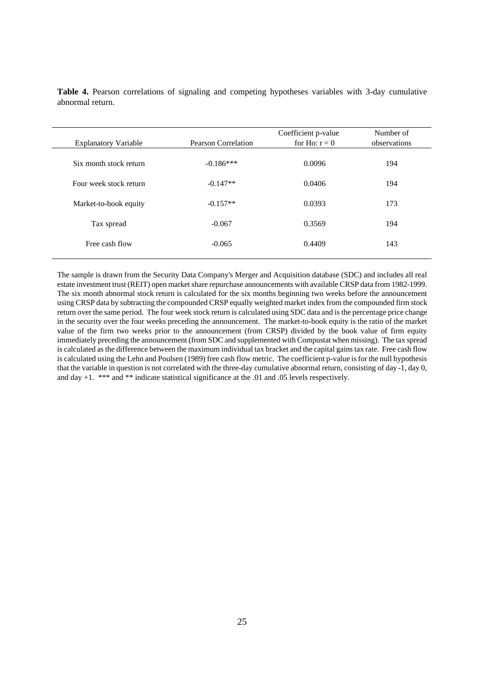| <b>Explanatory Variable</b> | Pearson Correlation | Coefficient p-value<br>for Ho: $r = 0$ | Number of<br>observations |
|-----------------------------|---------------------|----------------------------------------|---------------------------|
| Six month stock return      | $-0.186***$         | 0.0096                                 | 194                       |
| Four week stock return      | $-0.147**$          | 0.0406                                 | 194                       |
| Market-to-book equity       | $-0.157**$          | 0.0393                                 | 173                       |
| Tax spread                  | $-0.067$            | 0.3569                                 | 194                       |
| Free cash flow              | $-0.065$            | 0.4409                                 | 143                       |
|                             |                     |                                        |                           |

**Table 4.** Pearson correlations of signaling and competing hypotheses variables with 3-day cumulative abnormal return.

The sample is drawn from the Security Data Company's Merger and Acquisition database (SDC) and includes all real estate investment trust (REIT) open market share repurchase announcements with available CRSP data from 1982-1999. The six month abnormal stock return is calculated for the six months beginning two weeks before the announcement using CRSP data by subtracting the compounded CRSP equally weighted market index from the compounded firm stock return over the same period. The four week stock return is calculated using SDC data and is the percentage price change in the security over the four weeks preceding the announcement. The market-to-book equity is the ratio of the market value of the firm two weeks prior to the announcement (from CRSP) divided by the book value of firm equity immediately preceding the announcement (from SDC and supplemented with Compustat when missing). The tax spread is calculated as the difference between the maximum individual tax bracket and the capital gains tax rate. Free cash flow is calculated using the Lehn and Poulsen (1989) free cash flow metric. The coefficient p-value is for the null hypothesis that the variable in question is not correlated with the three-day cumulative abnormal return, consisting of day -1, day 0, and day +1. \*\*\* and \*\* indicate statistical significance at the .01 and .05 levels respectively.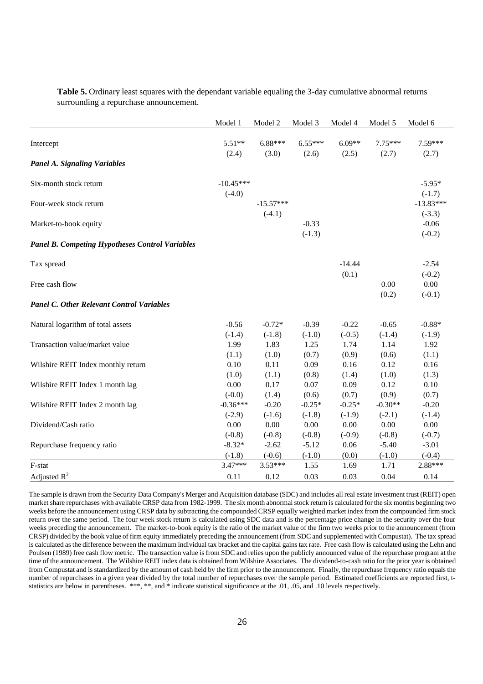|                                                        | Model 1     | Model 2     | Model 3   | Model 4  | Model 5   | Model 6     |
|--------------------------------------------------------|-------------|-------------|-----------|----------|-----------|-------------|
| Intercept                                              | $5.51**$    | $6.88***$   | $6.55***$ | $6.09**$ | $7.75***$ | 7.59***     |
|                                                        | (2.4)       | (3.0)       | (2.6)     | (2.5)    | (2.7)     | (2.7)       |
| <b>Panel A. Signaling Variables</b>                    |             |             |           |          |           |             |
|                                                        |             |             |           |          |           |             |
| Six-month stock return                                 | $-10.45***$ |             |           |          |           | $-5.95*$    |
|                                                        | $(-4.0)$    |             |           |          |           | $(-1.7)$    |
| Four-week stock return                                 |             | $-15.57***$ |           |          |           | $-13.83***$ |
|                                                        |             | $(-4.1)$    |           |          |           | $(-3.3)$    |
| Market-to-book equity                                  |             |             | $-0.33$   |          |           | $-0.06$     |
|                                                        |             |             | $(-1.3)$  |          |           | $(-0.2)$    |
| <b>Panel B. Competing Hypotheses Control Variables</b> |             |             |           |          |           |             |
| Tax spread                                             |             |             |           | $-14.44$ |           | $-2.54$     |
|                                                        |             |             |           | (0.1)    |           | $(-0.2)$    |
| Free cash flow                                         |             |             |           |          | 0.00      | 0.00        |
|                                                        |             |             |           |          | (0.2)     | $(-0.1)$    |
| <b>Panel C. Other Relevant Control Variables</b>       |             |             |           |          |           |             |
| Natural logarithm of total assets                      | $-0.56$     | $-0.72*$    | $-0.39$   | $-0.22$  | $-0.65$   | $-0.88*$    |
|                                                        | $(-1.4)$    | $(-1.8)$    | $(-1.0)$  | $(-0.5)$ | $(-1.4)$  | $(-1.9)$    |
| Transaction value/market value                         | 1.99        | 1.83        | 1.25      | 1.74     | 1.14      | 1.92        |
|                                                        | (1.1)       | (1.0)       | (0.7)     | (0.9)    | (0.6)     | (1.1)       |
| Wilshire REIT Index monthly return                     | 0.10        | 0.11        | 0.09      | 0.16     | 0.12      | 0.16        |
|                                                        | (1.0)       | (1.1)       | (0.8)     | (1.4)    | (1.0)     | (1.3)       |
| Wilshire REIT Index 1 month lag                        | 0.00        | 0.17        | 0.07      | 0.09     | 0.12      | 0.10        |
|                                                        | $(-0.0)$    | (1.4)       | (0.6)     | (0.7)    | (0.9)     | (0.7)       |
| Wilshire REIT Index 2 month lag                        | $-0.36***$  | $-0.20$     | $-0.25*$  | $-0.25*$ | $-0.30**$ | $-0.20$     |
|                                                        | $(-2.9)$    | $(-1.6)$    | $(-1.8)$  | $(-1.9)$ | $(-2.1)$  | $(-1.4)$    |
| Dividend/Cash ratio                                    | 0.00        | 0.00        | 0.00      | 0.00     | 0.00      | 0.00        |
|                                                        | $(-0.8)$    | $(-0.8)$    | $(-0.8)$  | $(-0.9)$ | $(-0.8)$  | $(-0.7)$    |
| Repurchase frequency ratio                             | $-8.32*$    | $-2.62$     | $-5.12$   | 0.06     | $-5.40$   | $-3.01$     |
|                                                        | $(-1.8)$    | $(-0.6)$    | $(-1.0)$  | (0.0)    | $(-1.0)$  | $(-0.4)$    |
| F-stat                                                 | $3.47***$   | $3.53***$   | 1.55      | 1.69     | 1.71      | 2.88***     |
| Adjusted $R^2$                                         | 0.11        | 0.12        | 0.03      | 0.03     | 0.04      | 0.14        |

**Table 5.** Ordinary least squares with the dependant variable equaling the 3-day cumulative abnormal returns surrounding a repurchase announcement.

The sample is drawn from the Security Data Company's Merger and Acquisition database (SDC) and includes all real estate investment trust (REIT) open market share repurchases with available CRSP data from 1982-1999. The six month abnormal stock return is calculated for the six months beginning two weeks before the announcement using CRSP data by subtracting the compounded CRSP equally weighted market index from the compounded firm stock return over the same period. The four week stock return is calculated using SDC data and is the percentage price change in the security over the four weeks preceding the announcement. The market-to-book equity is the ratio of the market value of the firm two weeks prior to the announcement (from CRSP) divided by the book value of firm equity immediately preceding the announcement (from SDC and supplemented with Compustat). The tax spread is calculated as the difference between the maximum individual tax bracket and the capital gains tax rate. Free cash flow is calculated using the Lehn and Poulsen (1989) free cash flow metric. The transaction value is from SDC and relies upon the publicly announced value of the repurchase program at the time of the announcement. The Wilshire REIT index data is obtained from Wilshire Associates. The dividend-to-cash ratio for the prior year is obtained from Compustat and is standardized by the amount of cash held by the firm prior to the announcement. Finally, the repurchase frequency ratio equals the number of repurchases in a given year divided by the total number of repurchases over the sample period. Estimated coefficients are reported first, tstatistics are below in parentheses. \*\*\*, \*\*, and \* indicate statistical significance at the .01, .05, and .10 levels respectively.